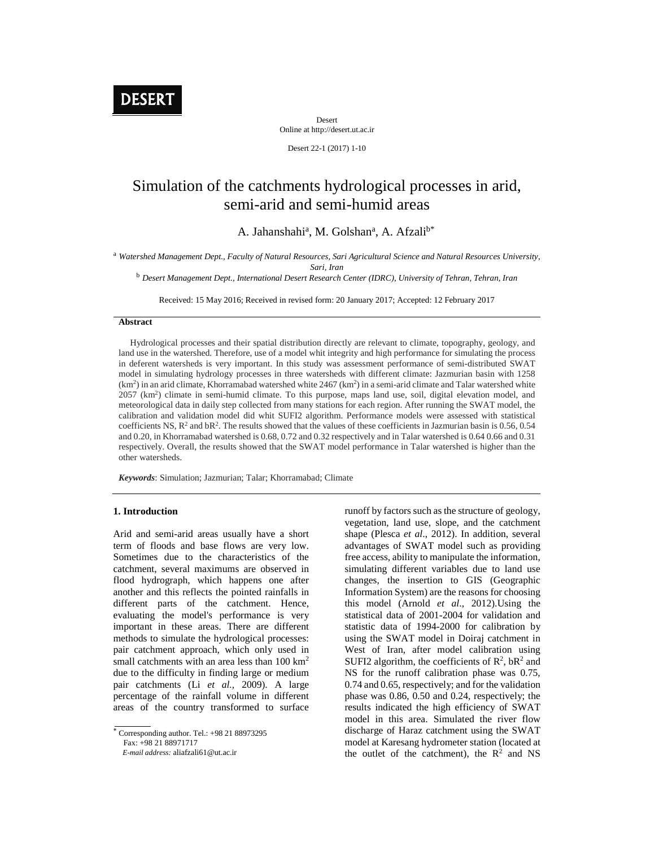

Desert Online at http://desert.ut.ac.ir

Desert 22-1 (2017) 1-10

# Simulation of the catchments hydrological processes in arid, semi-arid and semi-humid areas

A. Jahanshahi<sup>a</sup>, M. Golshan<sup>a</sup>, A. Afzali<sup>b\*</sup>

<sup>a</sup> *Watershed Management Dept., Faculty of Natural Resources, Sari Agricultural Science and Natural Resources University, Sari, Iran*

<sup>b</sup> *Desert Management Dept., International Desert Research Center (IDRC), University of Tehran, Tehran, Iran*

Received: 15 May 2016; Received in revised form: 20 January 2017; Accepted: 12 February 2017

#### **Abstract**

Hydrological processes and their spatial distribution directly are relevant to climate, topography, geology, and land use in the watershed. Therefore, use of a model whit integrity and high performance for simulating the process in deferent watersheds is very important. In this study was assessment performance of semi-distributed SWAT model in simulating hydrology processes in three watersheds with different climate: Jazmurian basin with 1258 (km<sup>2</sup>) in an arid climate, Khorramabad watershed white 2467 (km<sup>2</sup>) in a semi-arid climate and Talar watershed white 2057 (km<sup>2</sup> ) climate in semi-humid climate. To this purpose, maps land use, soil, digital elevation model, and meteorological data in daily step collected from many stations for each region. After running the SWAT model, the calibration and validation model did whit SUFI2 algorithm. Performance models were assessed with statistical coefficients NS,  $R^2$  and  $R^2$ . The results showed that the values of these coefficients in Jazmurian basin is 0.56, 0.54 and 0.20, in Khorramabad watershed is 0.68, 0.72 and 0.32 respectively and in Talar watershed is 0.64 0.66 and 0.31 respectively. Overall, the results showed that the SWAT model performance in Talar watershed is higher than the other watersheds.

*Keywords*: Simulation; Jazmurian; Talar; Khorramabad; Climate

### **1. Introduction**

Arid and semi-arid areas usually have a short term of floods and base flows are very low. Sometimes due to the characteristics of the catchment, several maximums are observed in flood hydrograph, which happens one after another and this reflects the pointed rainfalls in different parts of the catchment. Hence, evaluating the model's performance is very important in these areas. There are different methods to simulate the hydrological processes: pair catchment approach, which only used in small catchments with an area less than 100 km<sup>2</sup> due to the difficulty in finding large or medium pair catchments (Li *et al.,* 2009). A large percentage of the rainfall volume in different areas of the country transformed to surface

Fax: +98 21 88971717

*E-mail address:* aliafzali61@ut.ac.ir

runoff by factors such as the structure of geology, vegetation, land use, slope, and the catchment shape (Plesca *et al*., 2012). In addition, several advantages of SWAT model such as providing free access, ability to manipulate the information, simulating different variables due to land use changes, the insertion to GIS (Geographic Information System) are the reasons for choosing this model (Arnold *et al*., 2012).Using the statistical data of 2001-2004 for validation and statistic data of 1994-2000 for calibration by using the SWAT model in Doiraj catchment in West of Iran, after model calibration using SUFI2 algorithm, the coefficients of  $\mathbb{R}^2$ ,  $\mathbb{R}^2$  and NS for the runoff calibration phase was 0.75, 0.74 and 0.65, respectively; and for the validation phase was 0.86, 0.50 and 0.24, respectively; the results indicated the high efficiency of SWAT model in this area. Simulated the river flow discharge of Haraz catchment using the SWAT model at Karesang hydrometer station (located at the outlet of the catchment), the  $R^2$  and NS

Corresponding author. Tel.: +98 21 88973295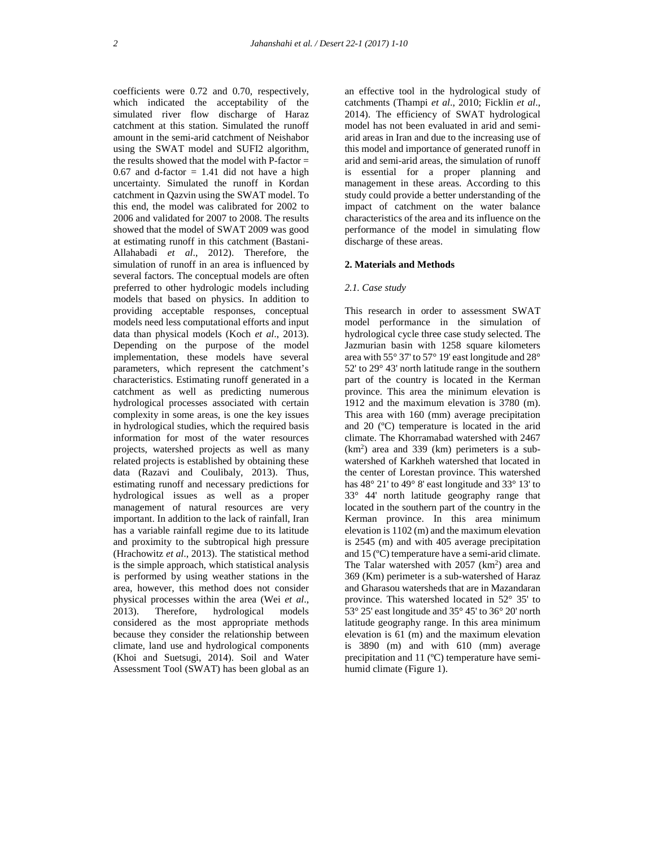coefficients were 0.72 and 0.70, respectively, which indicated the acceptability of the simulated river flow discharge of Haraz catchment at this station. Simulated the runoff amount in the semi-arid catchment of Neishabor using the SWAT model and SUFI2 algorithm, the results showed that the model with  $P$ -factor  $=$  $0.67$  and d-factor = 1.41 did not have a high uncertainty. Simulated the runoff in Kordan catchment in Qazvin using the SWAT model. To this end, the model was calibrated for 2002 to 2006 and validated for 2007 to 2008. The results showed that the model of SWAT 2009 was good at estimating runoff in this catchment (Bastani- Allahabadi *et al*., 2012). Therefore, the simulation of runoff in an area is influenced by several factors. The conceptual models are often preferred to other hydrologic models including models that based on physics. In addition to providing acceptable responses, conceptual models need less computational efforts and input data than physical models (Koch *et al*., 2013). Depending on the purpose of the model implementation, these models have several parameters, which represent the catchment's characteristics. Estimating runoff generated in a catchment as well as predicting numerous hydrological processes associated with certain complexity in some areas, is one the key issues in hydrological studies, which the required basis information for most of the water resources projects, watershed projects as well as many related projects is established by obtaining these data (Razavi and Coulibaly, 2013). Thus, estimating runoff and necessary predictions for hydrological issues as well as a proper management of natural resources are very important. In addition to the lack of rainfall, Iran has a variable rainfall regime due to its latitude and proximity to the subtropical high pressure (Hrachowitz *et al*., 2013). The statistical method is the simple approach, which statistical analysis is performed by using weather stations in the area, however, this method does not consider physical processes within the area (Wei *et al.*, 2013). Therefore, hydrological models hydrological models considered as the most appropriate methods because they consider the relationship between climate, land use and hydrological components (Khoi and Suetsugi, 2014). Soil and Water Assessment Tool (SWAT) has been global as an

an effective tool in the hydrological study of catchments (Thampi *et al*., 2010; Ficklin *et al*., 2014). The efficiency of SWAT hydrological model has not been evaluated in arid and semi arid areas in Iran and due to the increasing use of this model and importance of generated runoff in arid and semi-arid areas, the simulation of runoff is essential for a proper planning and management in these areas. According to this study could provide a better understanding of the impact of catchment on the water balance characteristics of the area and its influence on the performance of the model in simulating flow discharge of these areas.

## **2. Materials and Methods**

#### *2.1. Case study*

This research in order to assessment SWAT model performance in the simulation of hydrological cycle three case study selected. The Jazmurian basin with 1258 square kilometers area with 55° 37' to 57° 19' east longitude and 28° 52' to 29° 43' north latitude range in the southern part of the country is located in the Kerman province. This area the minimum elevation is 1912 and the maximum elevation is 3780 (m). This area with 160 (mm) average precipitation and 20 (ºC) temperature is located in the arid climate. The Khorramabad watershed with 2467  $(km<sup>2</sup>)$  area and 339 (km) perimeters is a subwatershed of Karkheh watershed that located in the center of Lorestan province. This watershed has 48° 21' to 49° 8' east longitude and 33° 13' to 33° 44' north latitude geography range that located in the southern part of the country in the Kerman province. In this area minimum elevation is 1102 (m) and the maximum elevation is 2545 (m) and with 405 average precipitation and 15 (ºC) temperature have a semi-arid climate. The Talar watershed with  $2057$  (km<sup>2</sup>) area and 369 (Km) perimeter is a sub-watershed of Haraz and Gharasou watersheds that are in Mazandaran province. This watershed located in 52° 35' to  $53^{\circ}$  25' east longitude and 35 $^{\circ}$  45' to 36 $^{\circ}$  20' north latitude geography range. In this area minimum elevation is 61 (m) and the maximum elevation is 3890 (m) and with 610 (mm) average precipitation and 11 (ºC) temperature have semi humid climate (Figure 1).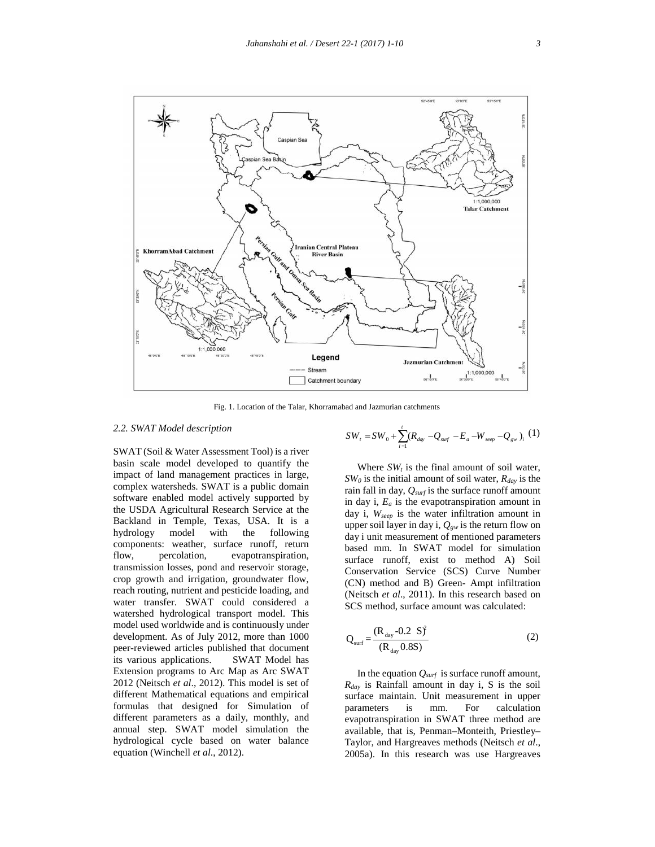

Fig. 1. Location of the Talar, Khorramabad and Jazmurian catchments

## *2.2. SWAT Model description*

SWAT (Soil & Water Assessment Tool) is a river basin scale model developed to quantify the impact of land management practices in large, complex watersheds. SWAT is a public domain software enabled model actively supported by the USDA Agricultural Research Service at the Backland in Temple, Texas, USA. It is a hydrology model with the following components: weather, surface runoff, return flow, percolation, evapotranspiration, transmission losses, pond and reservoir storage, crop growth and irrigation, groundwater flow, reach routing, nutrient and pesticide loading, and water transfer. SWAT could considered a watershed hydrological transport model. This model used worldwide and is continuously under development. As of July 2012, more than 1000 peer-reviewed articles published that document its various applications. SWAT Model has Extension programs to Arc Map as Arc SWAT 2012 (Neitsch *et al*., 2012). This model is set of different Mathematical equations and empirical formulas that designed for Simulation of different parameters as a daily, monthly, and annual step. SWAT model simulation the hydrological cycle based on water balance equation (Winchell *et al*., 2012).

$$
SW_{t} = SW_{0} + \sum_{i=1}^{t} (R_{day} - Q_{surf} - E_{a} - W_{sep} - Q_{gw})_{i} (1)
$$

Where  $SW_t$  is the final amount of soil water, *SW<sup>0</sup>* is the initial amount of soil water, *Rday* is the rain fall in day, *Qsurf* is the surface runoff amount in day i, *E<sup>a</sup>* is the evapotranspiration amount in day i, *Wseep* is the water infiltration amount in upper soil layer in day i,  $Q_{gw}$  is the return flow on day i unit measurement of mentioned parameters based mm. In SWAT model for simulation surface runoff, exist to method A) Soil Conservation Service (SCS) Curve Number (CN) method and B) Green- Ampt infiltration (Neitsch *et al*., 2011). In this research based on SCS method, surface amount was calculated: Martin Catchment<br>
Martin Catchment<br>
Martin Catchment<br>
Martin Catchment<br>
Surface state the state of the state of the state of the<br>
SW,  $=SW_0 + \sum_{i=1}^{i} (R_{\text{disp}} - Q_{\text{my}} - E_a - W_{\text{asup}} - Q_{\text{gw}})$ , (1)<br>
Where SW, is the final amo

$$
Q_{\text{surf}} = \frac{(R_{\text{day}} - 0.2 \text{ S})^2}{(R_{\text{day}} - 0.8 \text{ S})}
$$
 (2)

In the equation *Qsurf* is surface runoff amount, *Rday* is Rainfall amount in day i, S is the soil surface maintain. Unit measurement in upper parameters is mm. For calculation evapotranspiration in SWAT three method are available, that is, Penman–Monteith, Priestley– Taylor, and Hargreaves methods (Neitsch *et al*., 2005a). In this research was use Hargreaves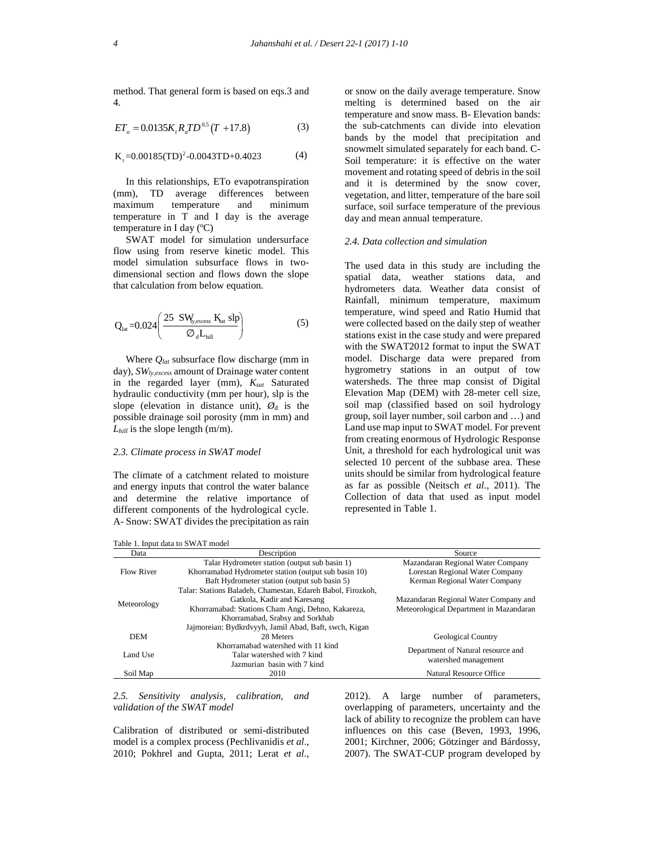method. That general form is based on eqs.3 and 4.

$$
ET_o = 0.0135K_r R_a T D^{0.5} (T + 17.8)
$$
 (3)

$$
K_{t} = 0.00185(TD)^{2} - 0.0043TD + 0.4023
$$
 (4)

In this relationships, ETo evapotranspiration (mm), TD average differences between maximum temperature and minimum temperature in T and I day is the average temperature in I day (ºC) 0.0043TD+0.4023<br>hips, ETo evapotranspir-<br>hips, ETo evapotranspir-<br>rage differences betverature and minii<br>and I day is the ave<br>y (°C)<br>for simulation undersure<br>reserve kinetic model.<br>subsurface flows in<br>n and flows down the

SWAT model for simulation undersurface flow using from reserve kinetic model. This model simulation subsurface flows in two dimensional section and flows down the slope that calculation from below equation.

$$
Q_{lat} = 0.024 \left( \frac{25 \text{ SW}_{y_{\text{excess}}} K_{\text{sat}} \text{ slp}}{\lambda_d L_{\text{hill}}} \right) \tag{5}
$$

Where *Qlat* subsurface flow discharge (mm in day), *SWly,excess* amount of Drainage water content in the regarded layer (mm), *Ksat* Saturated hydraulic conductivity (mm per hour), slp is the slope (elevation in distance unit),  $\mathcal{O}_d$  is the possible drainage soil porosity (mm in mm) and  $L_{hill}$  is the slope length  $(m/m)$ .

#### *2.3. Climate process in SWAT model*

The climate of a catchment related to moisture and energy inputs that control the water balance and determine the relative importance of different components of the hydrological cycle. A- Snow: SWAT divides the precipitation as rain

*Lahanshahi et al. / Desert 22-1 (2017)* 1-10<br>
2.4 A. That general form is based on eqs.3 and<br>
2.5 A.p. 2017)<br>
2.1 (2017) 1-10<br>
2.4 method. That general form is based on eqs.3 and<br>
2.5 method. That general form is based o or snow on the daily average temperature. Snow melting is determined based on the air temperature and snow mass. B- Elevation bands:  $(T+17.8)$  (3) the sub-catchments can divide into elevation bands by the model that precipitation and snowmelt simulated separately for each band. C- Soil temperature: it is effective on the water movement and rotating speed of debris in the soil and it is determined by the snow cover, vegetation, and litter, temperature of the bare soil surface, soil surface temperature of the previous day and mean annual temperature. *Iahanshahi et al. / Desert 22-1 (2017) 1-10*<br>
method. That general form is based on eqs.3 and<br>
4.<br>
mething is determined based on the air<br>
temperature and snow mass. B-Elevation bands:<br>  $E T_o = 0.0135 K_r R_s T D^{0.5} (T + 17.8)$ <br>

## *2.4. Data collection and simulation*

*I dhenshahi* et al. / *Desert* 22-1 (2017) 1-10<br>
method. That general form is based on eqs.3 and<br>
and consider a filting is determined based on energy<br>
4.<br>
4. ET<sub>u</sub> = 0.0135K, R,TD<sup>os</sup> (T +17.8) (3) the molecular presi *I observation is* and the same of the station end that the station end that the station can be the stationary of the stationary and the stationary and the stationary and the stationary and the stationary and the stationa The used data in this study are including the spatial data, weather stations data, and hydrometers data. Weather data consist of Rainfall, minimum temperature, maximum temperature, wind speed and Ratio Humid that were collected based on the daily step of weather stations exist in the case study and were prepared with the SWAT2012 format to input the SWAT model. Discharge data were prepared from hygrometry stations in an output of tow watersheds. The three map consist of Digital Elevation Map (DEM) with 28-meter cell size, soil map (classified based on soil hydrology group, soil layer number, soil carbon and …) and Land use map input to SWAT model. For prevent from creating enormous of Hydrologic Response Unit, a threshold for each hydrological unit was selected 10 percent of the subbase area. These units should be similar from hydrological feature as far as possible (Neitsch *et al.*, 2011). The Collection of data that used as input model represented in Table 1.

Table 1. Input data to SWAT model

|             | rable 1. mput data to 5 w AT model                          |                                         |  |
|-------------|-------------------------------------------------------------|-----------------------------------------|--|
| Data        | Description                                                 | Source                                  |  |
|             | Talar Hydrometer station (output sub basin 1)               | Mazandaran Regional Water Company       |  |
| Flow River  | Khorramabad Hydrometer station (output sub basin 10)        | Lorestan Regional Water Company         |  |
| Meteorology | Baft Hydrometer station (output sub basin 5)                | Kerman Regional Water Company           |  |
|             | Talar: Stations Baladeh, Chamestan, Edareh Babol, Firozkoh, |                                         |  |
|             | Gatkola, Kadir and Karesang                                 | Mazandaran Regional Water Company and   |  |
|             | Khorramabad: Stations Cham Angi, Dehno, Kakareza,           | Meteorological Department in Mazandaran |  |
|             | Khorramabad, Srabsy and Sorkhab                             |                                         |  |
|             | Jajmoreian: Bydkrdvyyh, Jamil Abad, Baft, swch, Kigan       |                                         |  |
| <b>DEM</b>  | 28 Meters                                                   | <b>Geological Country</b>               |  |
|             | Khorramabad watershed with 11 kind                          |                                         |  |
| Land Use    | Talar watershed with 7 kind                                 | Department of Natural resource and      |  |
|             | Jazmurian basin with 7 kind                                 | watershed management                    |  |
| Soil Map    | 2010                                                        | Natural Resource Office                 |  |

*2.5. Sensitivity analysis, calibration, and validation of the SWAT model*

Calibration of distributed or semi-distributed model is a complex process (Pechlivanidis *et al*., 2010; Pokhrel and Gupta, 2011; Lerat *et al*.,

2012). A large number of parameters, overlapping of parameters, uncertainty and the lack of ability to recognize the problem can have influences on this case (Beven, 1993, 1996, 2001; Kirchner, 2006; Götzinger and Bárdossy, 2007). The SWAT-CUP program developed by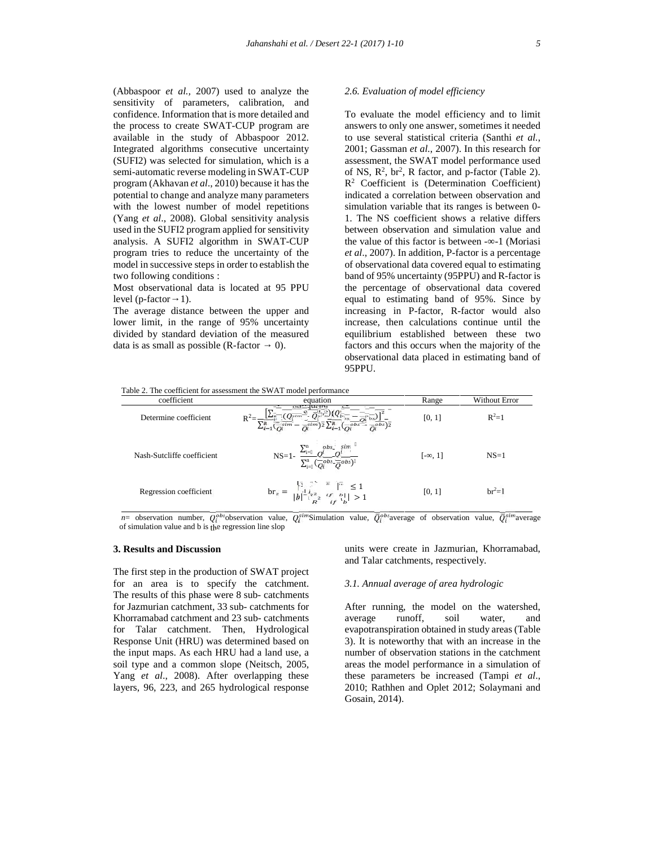(Abbaspoor *et al.,* 2007) used to analyze the sensitivity of parameters, calibration, and confidence. Information that is more detailed and the process to create SWAT-CUP program are available in the study of Abbaspoor 2012. Integrated algorithms consecutive uncertainty (SUFI2) was selected for simulation, which is a semi-automatic reverse modeling in SWAT-CUP program (Akhavan *et al*., 2010) because it has the potential to change and analyze many parameters with the lowest number of model repetitions (Yang *et al*., 2008). Global sensitivity analysis used in the SUFI2 program applied for sensitivity analysis. A SUFI2 algorithm in SWAT-CUP program tries to reduce the uncertainty of the model in successive steps in order to establish the two following conditions :

Most observational data is located at 95 PPU level (p-factor 1).

The average distance between the upper and lower limit, in the range of 95% uncertainty divided by standard deviation of the measured data is as small as possible  $(R-factor \t 0)$ .

#### *2.6. Evaluation of model efficiency*

To evaluate the model efficiency and to limit answers to only one answer, sometimes it needed to use several statistical criteria (Santhi *et al.*, 2001; Gassman *et al.*, 2007). In this research for assessment, the SWAT model performance used of NS,  $R^2$ ,  $br^2$ , R factor, and p-factor (Table 2). R <sup>2</sup> Coefficient is (Determination Coefficient) indicated a correlation between observation and simulation variable that its ranges is between 0- 1. The NS coefficient shows a relative differs between observation and simulation value and the value of this factor is between - -1 (Moriasi *et al*., 2007). In addition, P-factor is a percentage of observational data covered equal to estimating band of 95% uncertainty (95PPU) and R-factor is the percentage of observational data covered equal to estimating band of 95%. Since by increasing in P-factor, R-factor would also increase, then calculations continue until the equilibrium established between these two factors and this occurs when the majority of the observational data placed in estimating band of 95PPU.

| Table 2. The coefficient for assessment the SWAT model performance |  |
|--------------------------------------------------------------------|--|
|--------------------------------------------------------------------|--|

| coefficient                | equation                                                                                                                                                                                                                                                                                                                                                                                                                                                                        | Range    | Without Error |
|----------------------------|---------------------------------------------------------------------------------------------------------------------------------------------------------------------------------------------------------------------------------------------------------------------------------------------------------------------------------------------------------------------------------------------------------------------------------------------------------------------------------|----------|---------------|
| Determine coefficient      | $\cdot\frac{\left[\sum_{\vec{i}}\frac{1}{\sqrt{Q_{\vec{i}}^{\prime\prime}m}}\frac{e^{-}}{(Q_{\vec{i}}^{\prime\prime}m}\frac{1}{\sqrt{Q_{\vec{i}}^{\prime\prime}m}})\left(Q_{\vec{i}}^{-}\frac{1}{Q_{\vec{i}}^{\prime\prime}m}\right)\right]^2}{\sum_{\vec{i}=1}^n\overline{\left(\frac{1}{Q_{\vec{i}}^{\prime}}\frac{1}{2}m}-\frac{1}{\overline{Q}_{\vec{i}}^{\prime\prime}m}\right)^2}\sum_{\vec{i}=1}^n\overline{\left(Q_{\vec{i}}^{\prime\prime}b s-\frac{1}{Q_{\vec{i}}^{\$ | [0, 1]   | $R^2=1$       |
| Nash-Sutcliffe coefficient | NS=1- $\frac{\sum_{i=-}^{n} Q_i^{obs.}}{\sum_{i=1}^{n} (Q_i^{obs.} \overline{Q}^{obs.})}$                                                                                                                                                                                                                                                                                                                                                                                       | $[-, 1]$ | $NS=1$        |
| Regression coefficient     | $\text{br}_{z} = \frac{1}{ b } \sum_{i=1}^{n} \sum_{\substack{i=1 \\ k}}^n \frac{1}{i} \sum_{\substack{i=1 \\ i \neq j}}^n \frac{1}{i} \leq 1$                                                                                                                                                                                                                                                                                                                                  | [0, 1]   | $br^2=1$      |

*n*= observation number,  $Q_i^{obs}$  observation value,  $\overline{Q_i^{s}}$  imulation value,  $\overline{Q_i^{obs}}$  average of observation value,  $\overline{Q_i^{sim}}$  average of simulation value and b is the regression line slop

### **3. Results and Discussion**

The first step in the production of SWAT project for an area is to specify the catchment. The results of this phase were 8 sub- catchments for Jazmurian catchment, 33 sub- catchments for Khorramabad catchment and 23 sub- catchments for Talar catchment. Then, Hydrological Response Unit (HRU) was determined based on the input maps. As each HRU had a land use, a soil type and a common slope (Neitsch, 2005, Yang *et al*., 2008). After overlapping these layers, 96, 223, and 265 hydrological response

units were create in Jazmurian, Khorramabad, and Talar catchments, respectively.

## *3.1. Annual average of area hydrologic*

After running, the model on the watershed, average runoff, soil water, and evapotranspiration obtained in study areas (Table 3). It is noteworthy that with an increase in the number of observation stations in the catchment areas the model performance in a simulation of these parameters be increased (Tampi *et al*., 2010; Rathhen and Oplet 2012; Solaymani and Gosain, 2014).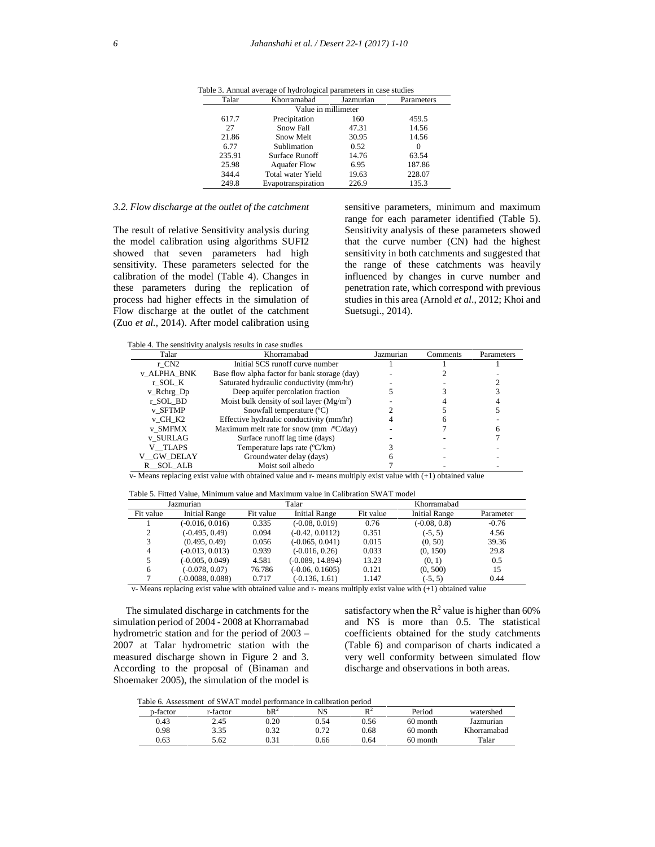| Talar               | Khorramabad           | Jazmurian | Parameters |  |  |  |  |  |
|---------------------|-----------------------|-----------|------------|--|--|--|--|--|
| Value in millimeter |                       |           |            |  |  |  |  |  |
| 617.7               | Precipitation         | 160       | 459.5      |  |  |  |  |  |
| 27                  | Snow Fall             | 47.31     | 14.56      |  |  |  |  |  |
| 21.86               | Snow Melt             | 30.95     | 14.56      |  |  |  |  |  |
| 6.77                | Sublimation           | 0.52      | $\Omega$   |  |  |  |  |  |
| 235.91              | <b>Surface Runoff</b> | 14.76     | 63.54      |  |  |  |  |  |
| 25.98               | <b>Aquafer Flow</b>   | 6.95      | 187.86     |  |  |  |  |  |
| 344.4               | Total water Yield     | 19.63     | 228.07     |  |  |  |  |  |
| 249.8               | Evapotranspiration    | 226.9     | 135.3      |  |  |  |  |  |

Table 3. Annual average of hydrological parameters in case studies

#### *3.2. Flow discharge at the outlet of the catchment*

The result of relative Sensitivity analysis during the model calibration using algorithms SUFI2 showed that seven parameters had high sensitivity. These parameters selected for the calibration of the model (Table 4). Changes in these parameters during the replication of process had higher effects in the simulation of Flow discharge at the outlet of the catchment (Zuo *et al.*, 2014). After model calibration using

sensitive parameters, minimum and maximum range for each parameter identified (Table 5). Sensitivity analysis of these parameters showed that the curve number (CN) had the highest sensitivity in both catchments and suggested that the range of these catchments was heavily influenced by changes in curve number and penetration rate, which correspond with previous studies in this area (Arnold *et al*., 2012; Khoi and Suetsugi., 2014).

Table 4. The sensitivity analysis results in case studies

| Khorramabad                                     | Jazmurian | <b>Comments</b> | Parameters |
|-------------------------------------------------|-----------|-----------------|------------|
| Initial SCS runoff curve number                 |           |                 |            |
| Base flow alpha factor for bank storage (day)   |           |                 |            |
| Saturated hydraulic conductivity (mm/hr)        |           |                 |            |
| Deep aquifer percolation fraction               |           |                 |            |
| Moist bulk density of soil layer $(Mg/m3)$      |           |                 |            |
| Snowfall temperature (°C)                       |           |                 |            |
| Effective hydraulic conductivity (mm/hr)        |           |                 |            |
| Maximum melt rate for snow (mm $\degree$ C/day) |           |                 |            |
| Surface runoff lag time (days)                  |           |                 |            |
| Temperature laps rate (°C/km)                   |           |                 |            |
| Groundwater delay (days)                        |           |                 |            |
| Moist soil albedo                               |           |                 |            |
|                                                 |           |                 |            |

v- Means replacing exist value with obtained value and r- means multiply exist value with (+1) obtained value

Table 5. Fitted Value, Minimum value and Maximum value in Calibration SWAT model

| Jazmurian                                                                                                                  |                      | Talar     |                      | Khorramabad |                      |           |
|----------------------------------------------------------------------------------------------------------------------------|----------------------|-----------|----------------------|-------------|----------------------|-----------|
| Fit value                                                                                                                  | <b>Initial Range</b> | Fit value | <b>Initial Range</b> | Fit value   | <b>Initial Range</b> | Parameter |
|                                                                                                                            | $(-0.016, 0.016)$    | 0.335     | $(-0.08, 0.019)$     | 0.76        | $(-0.08, 0.8)$       | $-0.76$   |
| 2                                                                                                                          | $(-0.495, 0.49)$     | 0.094     | $(-0.42, 0.0112)$    | 0.351       | $(-5, 5)$            | 4.56      |
| 3                                                                                                                          | (0.495, 0.49)        | 0.056     | $(-0.065, 0.041)$    | 0.015       | (0, 50)              | 39.36     |
| 4                                                                                                                          | $(-0.013, 0.013)$    | 0.939     | $(-0.016, 0.26)$     | 0.033       | (0, 150)             | 29.8      |
| 5                                                                                                                          | $(-0.005, 0.049)$    | 4.581     | (-0.089, 14.894)     | 13.23       | (0, 1)               | 0.5       |
| 6                                                                                                                          | $(-0.078, 0.07)$     | 76.786    | $(-0.06, 0.1605)$    | 0.121       | (0, 500)             | 15        |
|                                                                                                                            | $(-0.0088, 0.088)$   | 0.717     | $(-0.136, 1.61)$     | 1.147       | $(-5, 5)$            | 0.44      |
| ar Mason onofición e ceitr culto ceitr strutos d'estre su documento del finte ceitr culto ceitr. A t-t-A strutos d'estre c |                      |           |                      |             |                      |           |

v- Means replacing exist value with obtained value and r- means multiply exist value with (+1) obtained value

The simulated discharge in catchments for the simulation period of 2004 - 2008 at Khorramabad hydrometric station and for the period of 2003 – 2007 at Talar hydrometric station with the measured discharge shown in Figure 2 and 3. According to the proposal of (Binaman and Shoemaker 2005), the simulation of the model is

satisfactory when the  $R^2$  value is higher than 60% and NS is more than 0.5. The statistical coefficients obtained for the study catchments (Table 6) and comparison of charts indicated a very well conformity between simulated flow discharge and observations in both areas.

Table 6. Assessment of SWAT model performance in calibration period

|          | 1907. I 1908. I 1909. I 1918. I 1920. I 1930. I 1940. I 1940. I 1940. I 1940. I 1940. I 1940. I 1940. I 1940. |                 |      |                |          |             |
|----------|---------------------------------------------------------------------------------------------------------------|-----------------|------|----------------|----------|-------------|
| p-factor | r-factor                                                                                                      | bR <sup>2</sup> | NS   | D <sub>2</sub> | Period   | watershed   |
| 0.43     | 2.45                                                                                                          | 0.20            | 0.54 | 0.56           | 60 month | Jazmurian   |
| 0.98     | 3.35                                                                                                          | ).32            | 0.72 | 0.68           | 60 month | Khorramabad |
| 0.63     | 5.62                                                                                                          | 121             | 0.66 | 0.64           | 60 month | Talar       |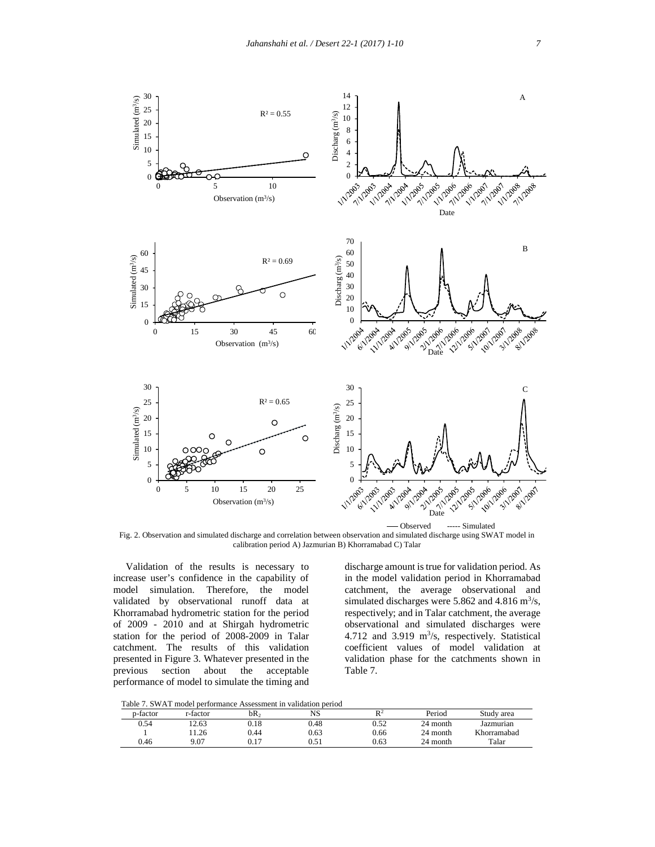

Fig. 2. Observation and simulated discharge and correlation between observation and simulated discharge using SWAT model in calibration period A) Jazmurian B) Khorramabad C) Talar

Validation of the results is necessary to increase user's confidence in the capability of model simulation. Therefore, the model validated by observational runoff data at Khorramabad hydrometric station for the period of 2009 - 2010 and at Shirgah hydrometric station for the period of 2008-2009 in Talar catchment. The results of this validation presented in Figure 3. Whatever presented in the previous section about the acceptable performance of model to simulate the timing and

discharge amount is true for validation period. As in the model validation period in Khorramabad catchment, the average observational and simulated discharges were  $5.862$  and  $4.816$  m<sup>3</sup>/s, respectively; and in Talar catchment, the average observational and simulated discharges were  $4.712$  and  $3.919$  m<sup>3</sup>/s, respectively. Statistical coefficient values of model validation at validation phase for the catchments shown in Table 7.

Table 7. SWAT model performance Assessment in validation period

| -------- |          |      | ------ |                |          |             |
|----------|----------|------|--------|----------------|----------|-------------|
| p-factor | r-factor | bR,  | NS     | D <sup>2</sup> | Period   | Study area  |
| 0.54     | 12.63    | ).18 | 0.48   | 0.52           | 24 month | Jazmurian   |
|          | 1.26     | 0.44 | 0.63   | 0.66           | 24 month | Khorramabad |
| 0.46     | 9.07     | J.17 | 0.51   | 0.63           | 24 month | Talar       |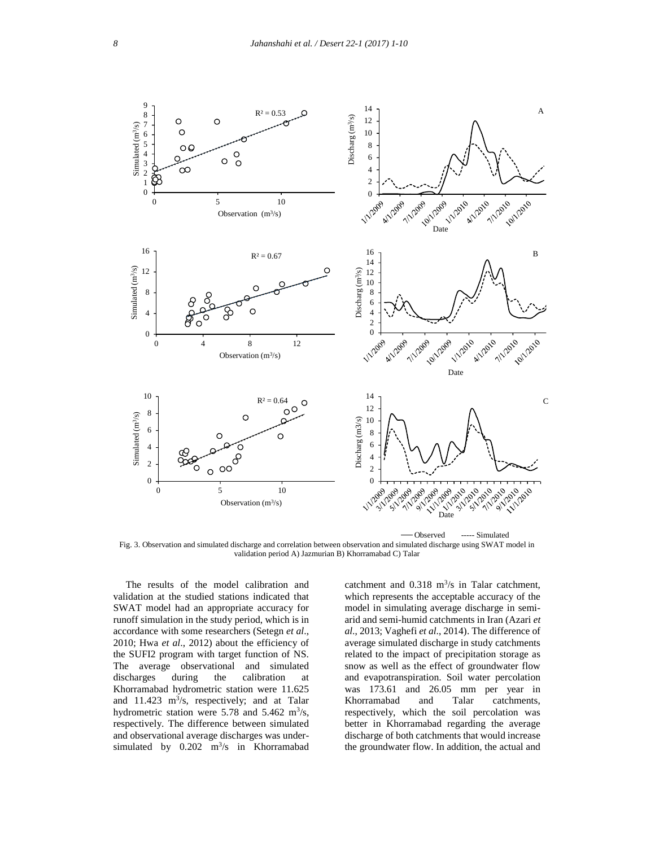

Fig. 3. Observation and simulated discharge and correlation between observation and simulated discharge using SWAT model in validation period A) Jazmurian B) Khorramabad C) Talar

The results of the model calibration and validation at the studied stations indicated that SWAT model had an appropriate accuracy for runoff simulation in the study period, which is in accordance with some researchers (Setegn *et al*., 2010; Hwa *et al*., 2012) about the efficiency of the SUFI2 program with target function of NS. The average observational and simulated discharges during the calibration at Khorramabad hydrometric station were 11.625 and  $11.423 \text{ m}^3\text{/s}$ , respectively; and at Talar hydrometric station were 5.78 and 5.462  $\text{m}^3\text{/s}$ , respectively. The difference between simulated and observational average discharges was under simulated by  $0.202 \text{ m}^3\text{/s}$  in Khorramabad ti

catchment and  $0.318 \text{ m}^3/\text{s}$  in Talar catchment, which represents the acceptable accuracy of the model in simulating average discharge in semi arid and semi-humid catchments in Iran (Azari *et al*., 2013; Vaghefi *et al*., 2014). The difference of average simulated discharge in study catchments related to the impact of precipitation storage as snow as well as the effect of groundwater flow and evapotranspiration. Soil water percolation was 173.61 and 26.05 mm per year in Khorramabad and Talar catchments, respectively, which the soil percolation was better in Khorramabad regarding the average discharge of both catchments that would increase the groundwater flow. In addition, the actual and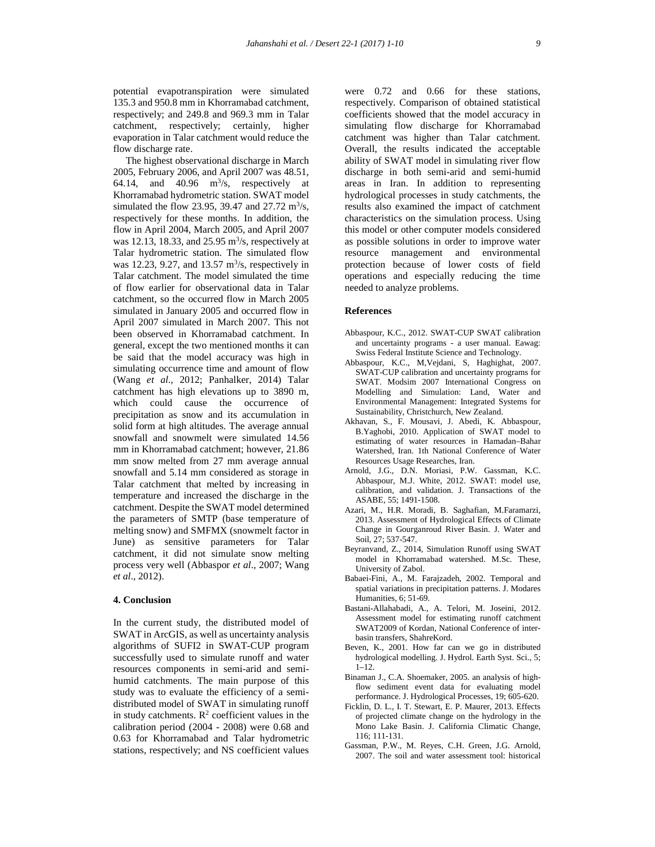potential evapotranspiration were simulated 135.3 and 950.8 mm in Khorramabad catchment, respectively; and 249.8 and 969.3 mm in Talar catchment, respectively; certainly, higher evaporation in Talar catchment would reduce the flow discharge rate.

The highest observational discharge in March 2005, February 2006, and April 2007 was 48.51, 64.14, and 40.96  $\text{m}^3\text{/s}$ , respectively at Khorramabad hydrometric station. SWAT model simulated the flow 23.95, 39.47 and  $27.72 \text{ m}^3\text{/s}$ , respectively for these months. In addition, the flow in April 2004, March 2005, and April 2007 was 12.13, 18.33, and  $25.95 \text{ m}^3/\text{s}$ , respectively at Talar hydrometric station. The simulated flow was 12.23, 9.27, and 13.57  $\text{m}^3$ /s, respectively in p Talar catchment. The model simulated the time of flow earlier for observational data in Talar catchment, so the occurred flow in March 2005 simulated in January 2005 and occurred flow in April 2007 simulated in March 2007. This not been observed in Khorramabad catchment. In general, except the two mentioned months it can be said that the model accuracy was high in simulating occurrence time and amount of flow (Wang *et al*., 2012; Panhalker, 2014) Talar catchment has high elevations up to 3890 m, which could cause the occurrence of precipitation as snow and its accumulation in solid form at high altitudes. The average annual snowfall and snowmelt were simulated 14.56 mm in Khorramabad catchment; however, 21.86 mm snow melted from 27 mm average annual snowfall and 5.14 mm considered as storage in Talar catchment that melted by increasing in temperature and increased the discharge in the catchment. Despite the SWAT model determined the parameters of SMTP (base temperature of melting snow) and SMFMX (snowmelt factor in June) as sensitive parameters for Talar catchment, it did not simulate snow melting process very well (Abbaspor *et al*., 2007; Wang *et al*., 2012).

# **4. Conclusion**

In the current study, the distributed model of SWAT in ArcGIS, as well as uncertainty analysis algorithms of SUFI2 in SWAT-CUP program successfully used to simulate runoff and water resources components in semi-arid and semi humid catchments. The main purpose of this study was to evaluate the efficiency of a semi distributed model of SWAT in simulating runoff in study catchments.  $\mathbb{R}^2$  coefficient values in the calibration period (2004 - 2008) were 0.68 and 0.63 for Khorramabad and Talar hydrometric stations, respectively; and NS coefficient values

were 0.72 and 0.66 for these stations, respectively. Comparison of obtained statistical coefficients showed that the model accuracy in simulating flow discharge for Khorramabad catchment was higher than Talar catchment. Overall, the results indicated the acceptable ability of SWAT model in simulating river flow discharge in both semi-arid and semi-humid areas in Iran. In addition to representing hydrological processes in study catchments, the results also examined the impact of catchment characteristics on the simulation process. Using this model or other computer models considered as possible solutions in order to improve water resource management and environmental protection because of lower costs of field operations and especially reducing the time needed to analyze problems.

#### **References**

- Abbaspour, K.C., 2012. SWAT-CUP SWAT calibration and uncertainty programs - a user manual. Eawag: Swiss Federal Institute Science and Technology.
- Abbaspour, K.C., M,Vejdani, S, Haghighat, 2007. SWAT-CUP calibration and uncertainty programs for SWAT. Modsim 2007 International Congress on Modelling and Simulation: Land, Water and Environmental Management: Integrated Systems for Sustainability, Christchurch, New Zealand.
- Akhavan, S., F. Mousavi, J. Abedi, K. Abbaspour, B.Yaghobi, 2010. Application of SWAT model to estimating of water resources in Hamadan-Bahar Watershed, Iran. 1th National Conference of Water Resources Usage Researches, Iran.
- Arnold, J.G., D.N. Moriasi, P.W. Gassman, K.C. Abbaspour, M.J. White, 2012. SWAT: model use, calibration, and validation. J. Transactions of the ASABE, 55; 1491-1508.
- Azari, M., H.R. Moradi, B. Saghafian, M.Faramarzi, 2013. Assessment of Hydrological Effects of Climate Change in Gourganroud River Basin. J. Water and Soil, 27; 537-547.
- Beyranvand, Z., 2014, Simulation Runoff using SWAT model in Khorramabad watershed. M.Sc. These, University of Zabol.
- Babaei-Fini, A., M. Farajzadeh, 2002. Temporal and spatial variations in precipitation patterns. J. Modares Humanities, 6; 51-69.
- Bastani-Allahabadi, A., A. Telori, M. Joseini, 2012. Assessment model for estimating runoff catchment SWAT2009 of Kordan, National Conference of inter basin transfers, ShahreKord.
- Beven, K., 2001. How far can we go in distributed hydrological modelling. J. Hydrol. Earth Syst. Sci., 5; 1–12.
- Binaman J., C.A. Shoemaker, 2005. an analysis of highflow sediment event data for evaluating model performance. J. Hydrological Processes, 19; 605-620.
- Ficklin, D. L., I. T. Stewart, E. P. Maurer, 2013. Effects of projected climate change on the hydrology in the Mono Lake Basin. J. California Climatic Change, 116; 111-131.
- Gassman, P.W., M. Reyes, C.H. Green, J.G. Arnold, 2007. The soil and water assessment tool: historical